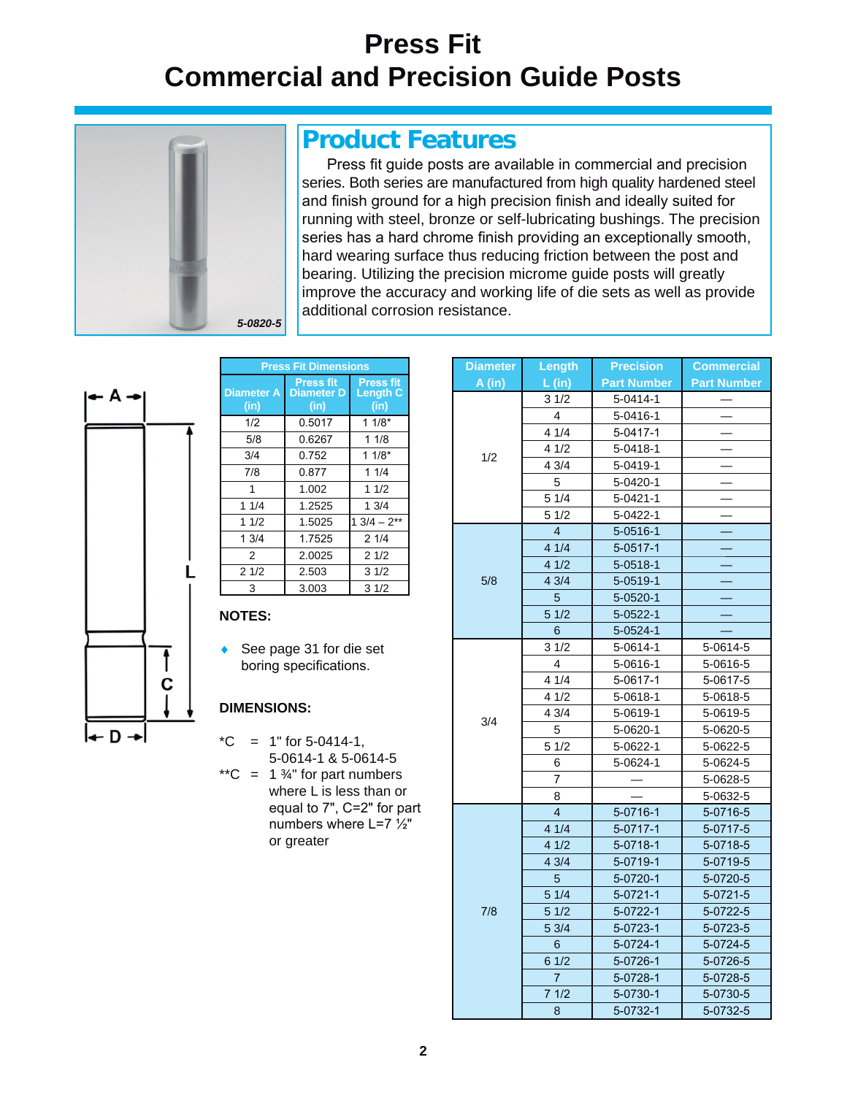# **Press Fit Commercial and Precision Guide Posts**



### **Product Features**

Press fit guide posts are available in commercial and precision series. Both series are manufactured from high quality hardened steel and finish ground for a high precision finish and ideally suited for running with steel, bronze or self-lubricating bushings. The precision series has a hard chrome finish providing an exceptionally smooth, hard wearing surface thus reducing friction between the post and bearing. Utilizing the precision microme guide posts will greatly improve the accuracy and working life of die sets as well as provide additional corrosion resistance.



| <b>Press Fit Dimensions</b> |                                               |                                             |  |  |  |
|-----------------------------|-----------------------------------------------|---------------------------------------------|--|--|--|
| <b>Diameter A</b><br>(in)   | <b>Press fit</b><br><b>Diameter D</b><br>(in) | <b>Press fit</b><br><b>Length C</b><br>(in) |  |  |  |
| 1/2                         | 0.5017                                        | $11/8*$                                     |  |  |  |
| 5/8                         | 0.6267                                        | 11/8                                        |  |  |  |
| 3/4                         | 0.752                                         | $11/8*$                                     |  |  |  |
| 7/8                         | 0.877                                         | 11/4                                        |  |  |  |
| 1                           | 1.002                                         | 11/2                                        |  |  |  |
| 11/4                        | 1.2525                                        | 13/4                                        |  |  |  |
| 11/2                        | 1.5025                                        | $1.3/4 - 2^{**}$                            |  |  |  |
| 13/4                        | 1.7525                                        | 21/4                                        |  |  |  |
| 2                           | 2.0025                                        | 21/2                                        |  |  |  |
| 21/2                        | 2.503                                         | 31/2                                        |  |  |  |
| 3                           | 3.003                                         | 31/2                                        |  |  |  |

#### **NOTES:**

 $\triangle$  See page 31 for die set boring specifications.

#### **DIMENSIONS:**

- $^{\ast}$ C = 1" for 5-0414-1, 5-0614-1 & 5-0614-5
- \*\*C =  $1\frac{3}{4}$ " for part numbers where L is less than or equal to  $7"$ ,  $C=2"$  for part numbers where  $L=7 \frac{1}{2}$ " or greater

| <b>Diameter</b> | Length         | <b>Precision</b>   | <b>Commercial</b>  |
|-----------------|----------------|--------------------|--------------------|
| A(in)           | L (in)         | <b>Part Number</b> | <b>Part Number</b> |
|                 | 31/2           | 5-0414-1           |                    |
|                 | $\overline{4}$ | 5-0416-1           |                    |
|                 | 41/4           | 5-0417-1           |                    |
|                 | 41/2           | 5-0418-1           |                    |
| 1/2             | 4 3/4          | 5-0419-1           |                    |
|                 | 5              | 5-0420-1           |                    |
|                 | 51/4           | $5 - 0421 - 1$     |                    |
|                 | 51/2           | 5-0422-1           |                    |
|                 | $\overline{4}$ | $5 - 0516 - 1$     |                    |
|                 | 41/4           | $5 - 0517 - 1$     |                    |
|                 | 41/2           | $5 - 0518 - 1$     |                    |
| 5/8             | 43/4           | $5 - 0519 - 1$     |                    |
|                 | 5              | $5 - 0520 - 1$     |                    |
|                 | 51/2           | $5 - 0522 - 1$     |                    |
|                 | 6              | 5-0524-1           |                    |
|                 | 31/2           | 5-0614-1           | 5-0614-5           |
|                 | $\overline{4}$ | 5-0616-1           | 5-0616-5           |
|                 | 41/4           | 5-0617-1           | 5-0617-5           |
|                 | 41/2           | 5-0618-1           | 5-0618-5           |
|                 | 43/4           | 5-0619-1           | 5-0619-5           |
| 3/4             | 5              | 5-0620-1           | 5-0620-5           |
|                 | 51/2           | 5-0622-1           | 5-0622-5           |
|                 | 6              | 5-0624-1           | 5-0624-5           |
|                 | $\overline{7}$ |                    | 5-0628-5           |
|                 | 8              |                    | 5-0632-5           |
|                 | $\overline{4}$ | 5-0716-1           | 5-0716-5           |
|                 | 41/4           | 5-0717-1           | 5-0717-5           |
|                 | 41/2           | 5-0718-1           | 5-0718-5           |
|                 | 43/4           | 5-0719-1           | 5-0719-5           |
|                 | 5              | $5 - 0720 - 1$     | 5-0720-5           |
| 7/8             | 51/4           | $5 - 0721 - 1$     | $5 - 0721 - 5$     |
|                 | 51/2           | $5 - 0722 - 1$     | 5-0722-5           |
|                 | 53/4           | $5 - 0723 - 1$     | 5-0723-5           |
|                 | 6              | $5 - 0724 - 1$     | 5-0724-5           |
|                 | 61/2           | 5-0726-1           | 5-0726-5           |
|                 | $\overline{7}$ | 5-0728-1           | 5-0728-5           |
|                 | 71/2           | 5-0730-1           | 5-0730-5           |
|                 | 8              | 5-0732-1           | 5-0732-5           |